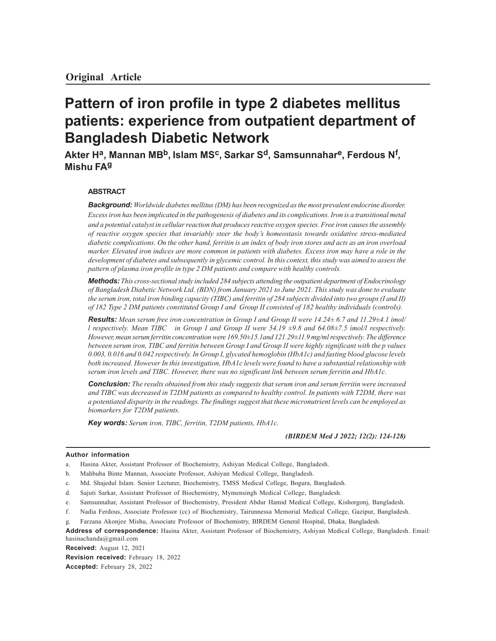# **Pattern of iron profile in type 2 diabetes mellitus patients: experience from outpatient department of Bangladesh Diabetic Network**

**Akter H<sup>a</sup> , Mannan MBb, Islam MS<sup>c</sup> , Sarkar Sd, Samsunnahar<sup>e</sup> , Ferdous N<sup>f</sup> , Mishu FA<sup>g</sup>**

## **ABSTRACT**

*Background: Worldwide diabetes mellitus (DM) has been recognized as the most prevalent endocrine disorder. Excess iron has been implicated in the pathogenesis of diabetes and its complications. Iron is a transitional metal and a potential catalyst in cellular reaction that produces reactive oxygen species. Free iron causes the assembly of reactive oxygen species that invariably steer the body's homeostasis towards oxidative stress-mediated diabetic complications. On the other hand, ferritin is an index of body iron stores and acts as an iron overload marker. Elevated iron indices are more common in patients with diabetes. Excess iron may have a role in the development of diabetes and subsequently in glycemic control. In this context, this study was aimed to assess the pattern of plasma iron profile in type 2 DM patients and compare with healthy controls.*

*Methods: This cross-sectional study included 284 subjects attending the outpatient department of Endocrinology of Bangladesh Diabetic Network Ltd. (BDN) from January 2021 to June 2021. This study was done to evaluate the serum iron, total iron binding capacity (TIBC) and ferritin of 284 subjects divided into two groups (I and II) of 182 Type 2 DM patients constituted Group I and Group II consisted of 182 healthy individuals (controls).*

*Results: Mean serum free iron concentration in Group I and Group II were 14.24± 6.7 and 11.29±4.1 ìmol/ l respectively. Mean TIBC in Group I and Group II were 54.19 ±9.8 and 64.08±7.5 ìmol/l respectively. However, mean serum ferritin concentration were 169.50±15.1and 121.29±11.9 mg/ml respectively. The difference between serum iron, TIBC and ferritin between Group I and Group II were highly significant with the p values 0.003, 0.016 and 0.042 respectively. In Group I, glycated hemoglobin (HbA1c) and fasting blood glucose levels both increased. However In this investigation, HbA1c levels were found to have a substantial relationship with serum iron levels and TIBC. However, there was no significant link between serum ferritin and HbA1c.*

*Conclusion: The results obtained from this study suggests that serum iron and serum ferritin were increased and TIBC was decreased in T2DM patients as compared to healthy control. In patients with T2DM, there was a potentiated disparity in the readings. The findings suggest that these micronutrient levels can be employed as biomarkers for T2DM patients.*

*Key words: Serum iron, TIBC, ferritin, T2DM patients, HbA1c.*

*(BIRDEM Med J 2022; 12(2): 124-128)*

#### **Author information**

- b. Mahbuba Binte Mannan, Associate Professor, Ashiyan Medical College, Bangladesh.
- c. Md. Shajedul Islam. Senior Lecturer, Biochemistry, TMSS Medical College, Bogura, Bangladesh.
- d. Sajuti Sarkar, Assistant Professor of Biochemistry, Mymensingh Medical College, Bangladesh.
- e. Samsunnahar, Assistant Professor of Biochemistry, President Abdur Hamid Medical College, Kishorgonj, Bangladesh.
- f. Nadia Ferdous, Associate Professor (cc) of Biochemistry, Tairunnessa Memorial Medical College, Gazipur, Bangladesh.

**Received:** August 12, 2021

**Revision received:** February 18, 2022 **Accepted:** February 28, 2022

a. Hasina Akter, Assistant Professor of Biochemistry, Ashiyan Medical College, Bangladesh.

g. Farzana Akonjee Mishu, Associate Professor of Biochemistry, BIRDEM General Hospital, Dhaka, Bangladesh.

**Address of correspondence:** Hasina Akter, Assistant Professor of Biochemistry, Ashiyan Medical College, Bangladesh. Email: hasinachanda@gmail.com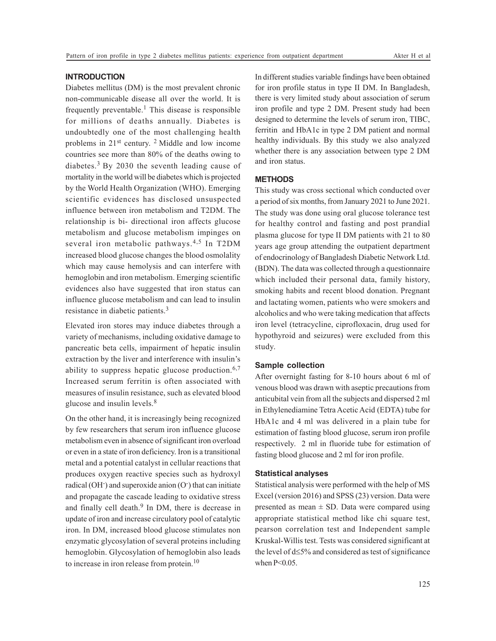#### **INTRODUCTION**

Diabetes mellitus (DM) is the most prevalent chronic non-communicable disease all over the world. It is frequently preventable.<sup>1</sup> This disease is responsible for millions of deaths annually. Diabetes is undoubtedly one of the most challenging health problems in 21<sup>st</sup> century. <sup>2</sup> Middle and low income countries see more than 80% of the deaths owing to diabetes.3 By 2030 the seventh leading cause of mortality in the world will be diabetes which is projected by the World Health Organization (WHO). Emerging scientific evidences has disclosed unsuspected influence between iron metabolism and T2DM. The relationship is bi- directional iron affects glucose metabolism and glucose metabolism impinges on several iron metabolic pathways.<sup>4,5</sup> In T2DM increased blood glucose changes the blood osmolality which may cause hemolysis and can interfere with hemoglobin and iron metabolism. Emerging scientific evidences also have suggested that iron status can influence glucose metabolism and can lead to insulin resistance in diabetic patients.<sup>3</sup>

Elevated iron stores may induce diabetes through a variety of mechanisms, including oxidative damage to pancreatic beta cells, impairment of hepatic insulin extraction by the liver and interference with insulin's ability to suppress hepatic glucose production.  $6,7$ Increased serum ferritin is often associated with measures of insulin resistance, such as elevated blood glucose and insulin levels.<sup>8</sup>

On the other hand, it is increasingly being recognized by few researchers that serum iron influence glucose metabolism even in absence of significant iron overload or even in a state of iron deficiency. Iron is a transitional metal and a potential catalyst in cellular reactions that produces oxygen reactive species such as hydroxyl radical (OH<sup>-</sup>) and superoxide anion (O<sup>-</sup>) that can initiate and propagate the cascade leading to oxidative stress and finally cell death.<sup>9</sup> In DM, there is decrease in update of iron and increase circulatory pool of catalytic iron. In DM, increased blood glucose stimulates non enzymatic glycosylation of several proteins including hemoglobin. Glycosylation of hemoglobin also leads to increase in iron release from protein.<sup>10</sup>

In different studies variable findings have been obtained for iron profile status in type II DM. In Bangladesh, there is very limited study about association of serum iron profile and type 2 DM. Present study had been designed to determine the levels of serum iron, TIBC, ferritin and HbA1c in type 2 DM patient and normal healthy individuals. By this study we also analyzed whether there is any association between type 2 DM and iron status.

### **METHODS**

This study was cross sectional which conducted over a period of six months, from January 2021 to June 2021. The study was done using oral glucose tolerance test for healthy control and fasting and post prandial plasma glucose for type II DM patients with 21 to 80 years age group attending the outpatient department of endocrinology of Bangladesh Diabetic Network Ltd. (BDN). The data was collected through a questionnaire which included their personal data, family history, smoking habits and recent blood donation. Pregnant and lactating women, patients who were smokers and alcoholics and who were taking medication that affects iron level (tetracycline, ciprofloxacin, drug used for hypothyroid and seizures) were excluded from this study.

#### **Sample collection**

After overnight fasting for 8-10 hours about 6 ml of venous blood was drawn with aseptic precautions from anticubital vein from all the subjects and dispersed 2 ml in Ethylenediamine Tetra Acetic Acid (EDTA) tube for HbA1c and 4 ml was delivered in a plain tube for estimation of fasting blood glucose, serum iron profile respectively. 2 ml in fluoride tube for estimation of fasting blood glucose and 2 ml for iron profile.

#### **Statistical analyses**

Statistical analysis were performed with the help of MS Excel (version 2016) and SPSS (23) version. Data were presented as mean  $\pm$  SD. Data were compared using appropriate statistical method like chi square test, pearson correlation test and Independent sample Kruskal-Willis test. Tests was considered significant at the level of  $d \leq 5\%$  and considered as test of significance when  $P<0.05$ .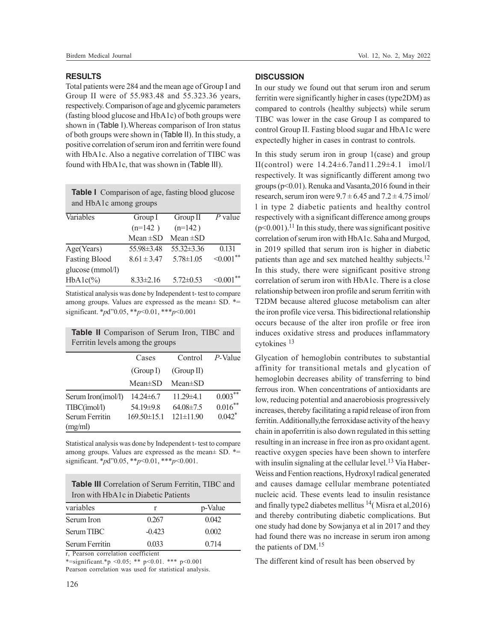#### **RESULTS**

Total patients were 284 and the mean age of Group I and Group II were of 55.983.48 and 55.323.36 years, respectively. Comparison of age and glycemic parameters (fasting blood glucose and HbA1c) of both groups were shown in (Table I).Whereas comparison of Iron status of both groups were shown in (Table II). In this study, a positive correlation of serum iron and ferritin were found with HbA1c. Also a negative correlation of TIBC was found with HbA1c, that was shown in (Table III).

| <b>Table I</b> Comparison of age, fasting blood glucose |
|---------------------------------------------------------|
| and HbA1c among groups                                  |

| Variables            | Group I          | Group II         | $P$ value       |
|----------------------|------------------|------------------|-----------------|
|                      | $(n=142)$        | $(n=142)$        |                 |
|                      | Mean $\pm SD$    | Mean $\pm$ SD    |                 |
| Age(Years)           | $55.98 \pm 3.48$ | $55.32 \pm 3.36$ | 0.131           |
| <b>Fasting Blood</b> | $8.61 \pm 3.47$  | $5.78 \pm 1.05$  | $\leq 0.001$ ** |
| glucose (mmol/l)     |                  |                  |                 |
| $HbA1c(\%)$          | $8.33 \pm 2.16$  | $5.72 \pm 0.53$  | $\leq 0.001$ ** |

Statistical analysis was done by Independent t- test to compare among groups. Values are expressed as the mean± SD. \*= significant. \**p*d"0.05, \*\**p*<0.01, \*\*\**p*<0.001

| Table II Comparison of Serum Iron, TIBC and |  |  |
|---------------------------------------------|--|--|
| Ferritin levels among the groups            |  |  |

|                    | Cases             | Control         | P-Value              |
|--------------------|-------------------|-----------------|----------------------|
|                    | (Group I)         | (Group II)      |                      |
|                    | $Mean \pm SD$     | $Mean \pm SD$   |                      |
| Serum Iron(imol/l) | $14.24 \pm 6.7$   | $11.29\pm4.1$   | $0.003***$           |
| TIBC(imol/l)       | 54.19±9.8         | $64.08 \pm 7.5$ | $0.016***$           |
| Serum Ferritin     | $169.50 \pm 15.1$ | $121 \pm 11.90$ | $0.042$ <sup>*</sup> |
| (mg/ml)            |                   |                 |                      |

Statistical analysis was done by Independent t- test to compare among groups. Values are expressed as the mean± SD. \*= significant. \**p*d"0.05, \*\**p*<0.01, \*\*\**p*<0.001.

| <b>Table III</b> Correlation of Serum Ferritin, TIBC and |
|----------------------------------------------------------|
| Iron with HbA1c in Diabetic Patients                     |

| variables      |          | p-Value |
|----------------|----------|---------|
| Serum Iron     | 0.267    | 0.042   |
| Serum TIBC     | $-0.423$ | 0.002   |
| Serum Ferritin | 0.033    | 0.714   |

r, Pearson correlation coefficient

\*=significant.\*p <0.05; \*\* p<0.01. \*\*\* p<0.001 Pearson correlation was used for statistical analysis.

## **DISCUSSION**

In our study we found out that serum iron and serum ferritin were significantly higher in cases (type2DM) as compared to controls (healthy subjects) while serum TIBC was lower in the case Group I as compared to control Group II. Fasting blood sugar and HbA1c were expectedly higher in cases in contrast to controls.

In this study serum iron in group 1(case) and group II(control) were 14.24±6.7and11.29±4.1 ìmol/l respectively. It was significantly different among two groups (p<0.01). Renuka and Vasanta,2016 found in their research, serum iron were  $9.7 \pm 6.45$  and  $7.2 \pm 4.75$  imol/ l in type 2 diabetic patients and healthy control respectively with a significant difference among groups  $(p<0.001)$ .<sup>11</sup> In this study, there was significant positive correlation of serum iron with HbA1c. Saha and Murgod, in 2019 spilled that serum iron is higher in diabetic patients than age and sex matched healthy subjects.<sup>12</sup> In this study, there were significant positive strong correlation of serum iron with HbA1c. There is a close relationship between iron profile and serum ferritin with T2DM because altered glucose metabolism can alter the iron profile vice versa. This bidirectional relationship occurs because of the alter iron profile or free iron induces oxidative stress and produces inflammatory cytokines <sup>13</sup>

Glycation of hemoglobin contributes to substantial affinity for transitional metals and glycation of hemoglobin decreases ability of transferring to bind ferrous iron. When concentrations of antioxidants are low, reducing potential and anaerobiosis progressively increases, thereby facilitating a rapid release of iron from ferritin. Additionally,the ferroxidase activity of the heavy chain in apoferritin is also down regulated in this setting resulting in an increase in free iron as pro oxidant agent. reactive oxygen species have been shown to interfere with insulin signaling at the cellular level.<sup>13</sup> Via Haber-Weiss and Fention reactions, Hydroxyl radical generated and causes damage cellular membrane potentiated nucleic acid. These events lead to insulin resistance and finally type2 diabetes mellitus  $14$  (Misra et al, 2016) and thereby contributing diabetic complications. But one study had done by Sowjanya et al in 2017 and they had found there was no increase in serum iron among the patients of DM.<sup>15</sup>

The different kind of result has been observed by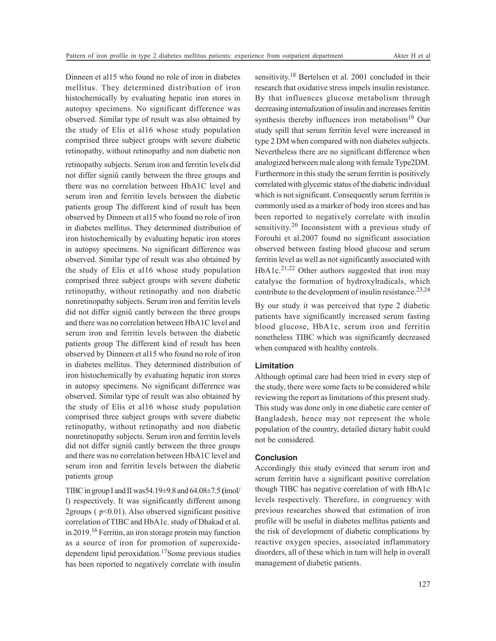Dinneen et al15 who found no role of iron in diabetes mellitus. They determined distribution of iron histochemically by evaluating hepatic iron stores in autopsy specimens. No significant difference was observed. Similar type of result was also obtained by the study of Elis et al16 whose study population comprised three subject groups with severe diabetic retinopathy, without retinopathy and non diabetic non

retinopathy subjects. Serum iron and ferritin levels did not differ signiû cantly between the three groups and there was no correlation between HbA1C level and serum iron and ferritin levels between the diabetic patients group The different kind of result has been observed by Dinneen et al15 who found no role of iron in diabetes mellitus. They determined distribution of iron histochemically by evaluating hepatic iron stores in autopsy specimens. No significant difference was observed. Similar type of result was also obtained by the study of Elis et al16 whose study population comprised three subject groups with severe diabetic retinopathy, without retinopathy and non diabetic nonretinopathy subjects. Serum iron and ferritin levels did not differ signiû cantly between the three groups and there was no correlation between HbA1C level and serum iron and ferritin levels between the diabetic patients group The different kind of result has been observed by Dinneen et al15 who found no role of iron in diabetes mellitus. They determined distribution of iron histochemically by evaluating hepatic iron stores in autopsy specimens. No significant difference was observed. Similar type of result was also obtained by the study of Elis et al16 whose study population comprised three subject groups with severe diabetic retinopathy, without retinopathy and non diabetic nonretinopathy subjects. Serum iron and ferritin levels did not differ signiû cantly between the three groups and there was no correlation between HbA1C level and serum iron and ferritin levels between the diabetic patients group

TIBC in group I and II was54.19±9.8 and 64.08±7.5 **(**ìmol/ l) respectively. It was significantly different among 2groups ( $p<0.01$ ). Also observed significant positive correlation of TIBC and HbA1c. study of Dhakad et al. in 2019.16 Ferritin, an iron storage protein may function as a source of iron for promotion of superoxidedependent lipid peroxidation.17Some previous studies has been reported to negatively correlate with insulin

sensitivity.<sup>18</sup> Bertelsen et al. 2001 concluded in their research that oxidative stress impels insulin resistance. By that influences glucose metabolism through decreasing internalization of insulin and increases ferritin synthesis thereby influences iron metabolism<sup>19</sup> Our study spill that serum ferritin level were increased in type 2 DM when compared with non diabetes subjects. Nevertheless there are no significant difference when analogized between male along with female Type2DM. Furthermore in this study the serum ferritin is positively correlated with glycemic status of the diabetic individual which is not significant. Consequently serum ferritin is commonly used as a marker of body iron stores and has been reported to negatively correlate with insulin sensitivity.<sup>20</sup> Inconsistent with a previous study of Forouhi et al.2007 found no significant association observed between fasting blood glucose and serum ferritin level as well as not significantly associated with HbA1c.<sup>21,22</sup> Other authors suggested that iron may catalyse the formation of hydroxylradicals, which contribute to the development of insulin resistance.<sup>23,24</sup>

By our study it was perceived that type 2 diabetic patients have significantly increased serum fasting blood glucose, HbA1c, serum iron and ferritin nonetheless TIBC which was significantly decreased when compared with healthy controls.

## **Limitation**

Although optimal care had been tried in every step of the study, there were some facts to be considered while reviewing the report as limitations of this present study. This study was done only in one diabetic care center of Bangladesh, hence may not represent the whole population of the country, detailed dietary habit could not be considered.

#### **Conclusion**

Accordingly this study evinced that serum iron and serum ferritin have a significant positive correlation though TIBC has negative correlation of with HbA1c levels respectively. Therefore, in congruency with previous researches showed that estimation of iron profile will be useful in diabetes mellitus patients and the risk of development of diabetic complications by reactive oxygen species, associated inflammatory disorders, all of these which in turn will help in overall management of diabetic patients.